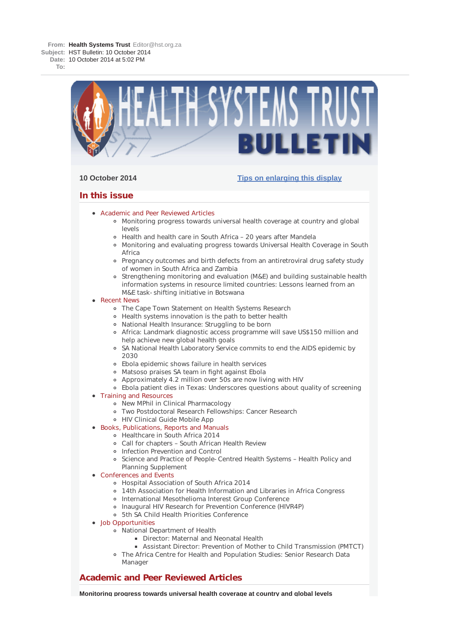**From: Health Systems Trust** Editor@hst.org.za **Subject:** HST Bulletin: 10 October 2014 **Date:** 10 October 2014 at 5:02 PM

**To:**



# **10 October 2014 Tips on enlarging this display**

# **In this issue**

- **Academic and Peer Reviewed Articles** 
	- Monitoring progress towards universal health coverage at country and global levels
	- Health and health care in South Africa 20 years after Mandela
	- Monitoring and evaluating progress towards Universal Health Coverage in South Africa
	- Pregnancy outcomes and birth defects from an antiretroviral drug safety study of women in South Africa and Zambia
	- Strengthening monitoring and evaluation (M&E) and building sustainable health information systems in resource limited countries: Lessons learned from an M&E task-shifting initiative in Botswana
- Recent News
	- o The Cape Town Statement on Health Systems Research
	- Health systems innovation is the path to better health
	- National Health Insurance: Struggling to be born
	- Africa: Landmark diagnostic access programme will save US\$150 million and help achieve new global health goals
	- SA National Health Laboratory Service commits to end the AIDS epidemic by 2030
	- Ebola epidemic shows failure in health services
	- Matsoso praises SA team in fight against Ebola
	- Approximately 4.2 million over 50s are now living with HIV
	- Ebola patient dies in Texas: Underscores questions about quality of screening
- Training and Resources
	- New MPhil in Clinical Pharmacology
	- Two Postdoctoral Research Fellowships: Cancer Research
	- HIV Clinical Guide Mobile App
- Books, Publications, Reports and Manuals
	- Healthcare in South Africa 2014
	- Call for chapters South African Health Review
	- o Infection Prevention and Control
	- Science and Practice of People-Centred Health Systems Health Policy and Planning Supplement
- Conferences and Events
	- Hospital Association of South Africa 2014
	- 14th Association for Health Information and Libraries in Africa Congress
	- o International Mesothelioma Interest Group Conference
	- o Inaugural HIV Research for Prevention Conference (HIVR4P)
	- 5th SA Child Health Priorities Conference
- Job Opportunities
	- National Department of Health
		- Director: Maternal and Neonatal Health
		- Assistant Director: Prevention of Mother to Child Transmission (PMTCT)
	- The Africa Centre for Health and Population Studies: Senior Research Data Manager

# **Academic and Peer Reviewed Articles**

**Monitoring progress towards universal health coverage at country and global levels**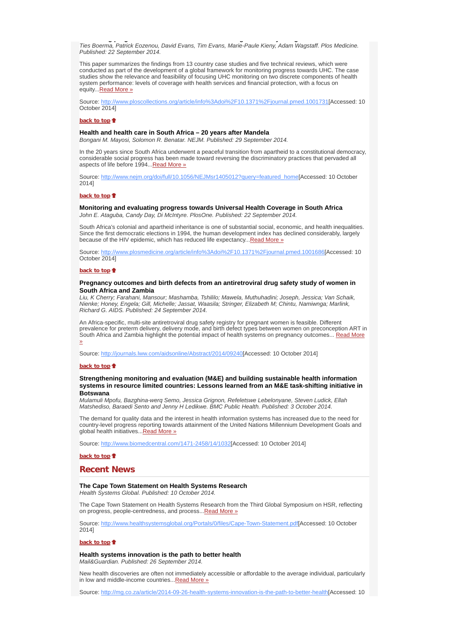**gp g g y g** *Ties Boerma, Patrick Eozenou, David Evans, Tim Evans, Marie-Paule Kieny, Adam Wagstaff. Plos Medicine. Published: 22 September 2014.*

This paper summarizes the findings from 13 country case studies and five technical reviews, which were conducted as part of the development of a global framework for monitoring progress towards UHC. The case studies show the relevance and feasibility of focusing UHC monitoring on two discrete components of health system performance: levels of coverage with health services and financial protection, with a focus on equity... Read More »

Source: http://www.ploscollections.org/article/info%3Adoi%2F10.1371%2Fjournal.pmed.1001731[Accessed: 10 October 2014]

#### **back to top**

# **Health and health care in South Africa – 20 years after Mandela**

*Bongani M. Mayosi, Solomon R. Benatar. NEJM. Published: 29 September 2014.*

In the 20 years since South Africa underwent a peaceful transition from apartheid to a constitutional democracy, considerable social progress has been made toward reversing the discriminatory practices that pervaded all aspects of life before 1994...Read More »

Source: http://www.nejm.org/doi/full/10.1056/NEJMsr1405012?query=featured\_home[Accessed: 10 October 2014]

#### **back to top**

#### **Monitoring and evaluating progress towards Universal Health Coverage in South Africa** *John E. Ataguba, Candy Day, Di McIntyre. PlosOne. Published: 22 September 2014.*

South Africa's colonial and apartheid inheritance is one of substantial social, economic, and health inequalities. Since the first democratic elections in 1994, the human development index has declined considerably, largely because of the HIV epidemic, which has reduced life expectancy...Read More »

Source: http://www.plosmedicine.org/article/info%3Adoi%2F10.1371%2Fjournal.pmed.1001686[Accessed: 10 October 2014]

#### **back to top**

# **Pregnancy outcomes and birth defects from an antiretroviral drug safety study of women in South Africa and Zambia**

*Liu, K Cherry; Farahani, Mansour; Mashamba, Tshililo; Mawela, Muthuhadini; Joseph, Jessica; Van Schaik, Nienke; Honey, Engela; Gill, Michelle; Jassat, Waasila; Stringer, Elizabeth M; Chintu, Namiwnga; Marlink, Richard G. AIDS. Published: 24 September 2014.*

An Africa-specific, multi-site antiretroviral drug safety registry for pregnant women is feasible. Different prevalence for preterm delivery, delivery mode, and birth defect types between women on preconception ART in South Africa and Zambia highlight the potential impact of health systems on pregnancy outcomes... Read More »

Source: http://journals.lww.com/aidsonline/Abstract/2014/09240[Accessed: 10 October 2014]

#### **back to top**

# **Strengthening monitoring and evaluation (M&E) and building sustainable health information systems in resource limited countries: Lessons learned from an M&E task-shifting initiative in Botswana**

*Mulamuli Mpofu, Bazghina-werq Semo, Jessica Grignon, Refeletswe Lebelonyane, Steven Ludick, Ellah Matshediso, Baraedi Sento and Jenny H Ledikwe. BMC Public Health. Published: 3 October 2014.*

The demand for quality data and the interest in health information systems has increased due to the need for country-level progress reporting towards attainment of the United Nations Millennium Development Goals and global health initiatives...Read More »

Source: http://www.biomedcentral.com/1471-2458/14/1032[Accessed: 10 October 2014]

**back to top**

# **Recent News**

# **The Cape Town Statement on Health Systems Research**

*Health Systems Global. Published: 10 October 2014.*

The Cape Town Statement on Health Systems Research from the Third Global Symposium on HSR, reflecting on progress, people-centredness, and process...Read More »

Source: http://www.healthsystemsglobal.org/Portals/0/files/Cape-Town-Statement.pdf[Accessed: 10 October 2014]

#### **back to top**

### **Health systems innovation is the path to better health**

*Mail&Guardian. Published: 26 September 2014.*

New health discoveries are often not immediately accessible or affordable to the average individual, particularly in low and middle-income countries...Read More »

Source: http://mg.co.za/article/2014-09-26-health-systems-innovation-is-the-path-to-better-health[Accessed: 10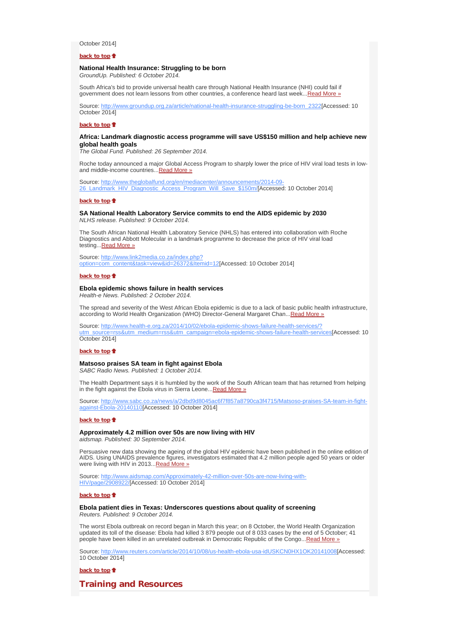October 2014]

**back to top** 

# **National Health Insurance: Struggling to be born**

*GroundUp. Published: 6 October 2014.*

South Africa's bid to provide universal health care through National Health Insurance (NHI) could fail if government does not learn lessons from other countries, a conference heard last week...Read More »

Source: http://www.groundup.org.za/article/national-health-insurance-struggling-be-born\_2322[Accessed: 10 October 2014]

**back to top**

# **Africa: Landmark diagnostic access programme will save US\$150 million and help achieve new global health goals**

*The Global Fund. Published: 26 September 2014.*

Roche today announced a major Global Access Program to sharply lower the price of HIV viral load tests in lowand middle-income countries...Read More »

Source: http://www.theglobalfund.org/en/mediacenter/announcements/2014-09- 26\_Landmark\_HIV\_Diagnostic\_Access\_Program\_Will\_Save\_\$150m/[Accessed: 10 October 2014]

#### **back to top**

#### **SA National Health Laboratory Service commits to end the AIDS epidemic by 2030** *NLHS release. Published: 9 October 2014.*

The South African National Health Laboratory Service (NHLS) has entered into collaboration with Roche Diagnostics and Abbott Molecular in a landmark programme to decrease the price of HIV viral load testing... Read More »

Source: http://www.link2media.co.za/index.php? option=com\_content&task=view&id=26372&Itemid=12[Accessed: 10 October 2014]

#### **back to top**

#### **Ebola epidemic shows failure in health services**

*Health-e News. Published: 2 October 2014.*

The spread and severity of the West African Ebola epidemic is due to a lack of basic public health infrastructure, according to World Health Organization (WHO) Director-General Margaret Chan...Re

Source: http://www.health-e.org.za/2014/10/02/ebola-epidemic-shows-failure-health-services/? utm\_source=rss&utm\_medium=rss&utm\_campaign=ebola-epidemic-shows-failure-health-services[Accessed: 10 October 2014]

#### **back to top**

#### **Matsoso praises SA team in fight against Ebola**

*SABC Radio News. Published: 1 October 2014.*

The Health Department says it is humbled by the work of the South African team that has returned from helping in the fight against the Ebola virus in Sierra Leone...Read More »

Source: http://www.sabc.co.za/news/a/2dbd9d8045ac6f7f857a8790ca3f4715/Matsoso-praises-SA-team-in-fightagainst-Ebola-20140110[Accessed: 10 October 2014]

#### **back to top**

#### **Approximately 4.2 million over 50s are now living with HIV** *aidsmap. Published: 30 September 2014.*

Persuasive new data showing the ageing of the global HIV epidemic have been published in the online edition of AIDS. Using UNAIDS prevalence figures, investigators estimated that 4.2 million people aged 50 years or older were living with HIV in 2013... Read More »

Source: http://www.aidsmap.com/Approximately-42-million-over-50s-are-now-living-with-HIV/page/2908922/[Accessed: 10 October 2014]

### **back to top**

# **Ebola patient dies in Texas: Underscores questions about quality of screening**

*Reuters. Published: 9 October 2014.*

The worst Ebola outbreak on record began in March this year; on 8 October, the World Health Organization updated its toll of the disease: Ebola had killed 3 879 people out of 8 033 cases by the end of 5 October; 41 people have been killed in an unrelated outbreak in Democratic Republic of the Congo...Read More »

Source: http://www.reuters.com/article/2014/10/08/us-health-ebola-usa-idUSKCN0HX1OK20141008[Accessed: 10 October 2014]

**back to top**

**Training and Resources**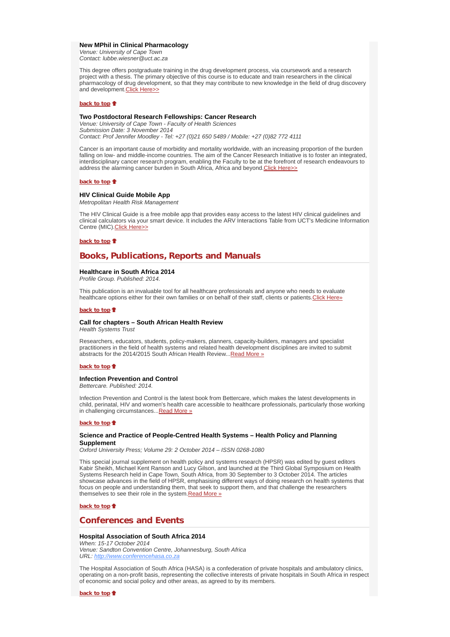# **New MPhil in Clinical Pharmacology**

*Venue: University of Cape Town Contact: lubbe.wiesner@uct.ac.za*

This degree offers postgraduate training in the drug development process, via coursework and a research project with a thesis. The primary objective of this course is to educate and train researchers in the clinical pharmacology of drug development, so that they may contribute to new knowledge in the field of drug discovery and development.Click Here>>

### **back to top**

### **Two Postdoctoral Research Fellowships: Cancer Research**

*Venue: University of Cape Town - Faculty of Health Sciences Submission Date: 3 November 2014 Contact: Prof Jennifer Moodley - Tel: +27 (0)21 650 5489 / Mobile: +27 (0)82 772 4111*

Cancer is an important cause of morbidity and mortality worldwide, with an increasing proportion of the burden falling on low- and middle-income countries. The aim of the Cancer Research Initiative is to foster an integrated, interdisciplinary cancer research program, enabling the Faculty to be at the forefront of research endeavours to address the alarming cancer burden in South Africa, Africa and beyond.Click Here>>

#### **back to top**

# **HIV Clinical Guide Mobile App**

*Metropolitan Health Risk Management*

The HIV Clinical Guide is a free mobile app that provides easy access to the latest HIV clinical guidelines and clinical calculators via your smart device. It includes the ARV Interactions Table from UCT's Medicine Information Centre (MIC). Click Here>>

#### **back to top**

# **Books, Publications, Reports and Manuals**

### **Healthcare in South Africa 2014**

*Profile Group. Published: 2014.*

This publication is an invaluable tool for all healthcare professionals and anyone who needs to evaluate healthcare options either for their own families or on behalf of their staff, clients or patients.Click Here»

#### **back to top**

#### **Call for chapters – South African Health Review**

*Health Systems Trust*

Researchers, educators, students, policy-makers, planners, capacity-builders, managers and specialist practitioners in the field of health systems and related health development disciplines are invited to submit abstracts for the 2014/2015 South African Health Review...Read More »

#### **back to top**

### **Infection Prevention and Control**

*Bettercare. Published: 2014.*

Infection Prevention and Control is the latest book from Bettercare, which makes the latest developments in child, perinatal, HIV and women's health care accessible to healthcare professionals, particularly those working in challenging circumstances... Read More »

#### **back to top**

# **Science and Practice of People-Centred Health Systems – Health Policy and Planning Supplement**

*Oxford University Press; Volume 29: 2 October 2014 – ISSN 0268-1080*

This special journal supplement on health policy and systems research (HPSR) was edited by guest editors Kabir Sheikh, Michael Kent Ranson and Lucy Gilson, and launched at the Third Global Symposium on Health Systems Research held in Cape Town, South Africa, from 30 September to 3 October 2014. The articles showcase advances in the field of HPSR, emphasising different ways of doing research on health systems that focus on people and understanding them, that seek to support them, and that challenge the researchers themselves to see their role in the system. Read More »

### **back to top**

# **Conferences and Events**

#### **Hospital Association of South Africa 2014**

*When: 15-17 October 2014 Venue: Sandton Convention Centre, Johannesburg, South Africa URL: http://www.conferencehasa.co.za*

The Hospital Association of South Africa (HASA) is a confederation of private hospitals and ambulatory clinics, operating on a non-profit basis, representing the collective interests of private hospitals in South Africa in respect of economic and social policy and other areas, as agreed to by its members.

**back to top**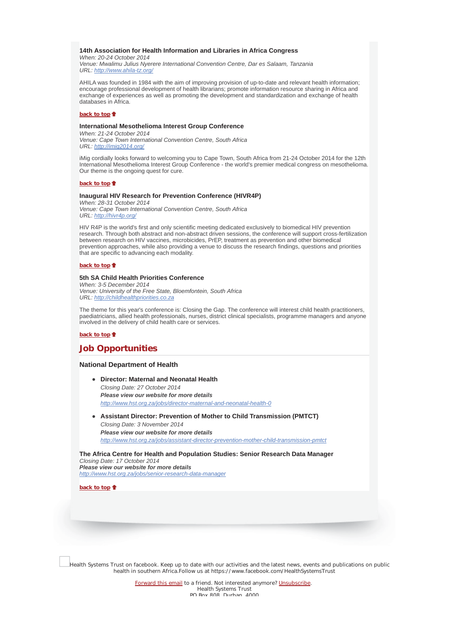# **14th Association for Health Information and Libraries in Africa Congress**

*Venue: Mwalimu Julius Nyerere International Convention Centre, Dar es Salaam, Tanzania URL: http://www.ahila-tz.org/*

AHILA was founded in 1984 with the aim of improving provision of up-to-date and relevant health information; encourage professional development of health librarians; promote information resource sharing in Africa and exchange of experiences as well as promoting the development and standardization and exchange of health databases in Africa.

#### **back to top**

*When: 20-24 October 2014*

#### **International Mesothelioma Interest Group Conference**

*When: 21-24 October 2014 Venue: Cape Town International Convention Centre, South Africa URL: http://imig2014.org/*

iMig cordially looks forward to welcoming you to Cape Town, South Africa from 21-24 October 2014 for the 12th International Mesothelioma Interest Group Conference - the world's premier medical congress on mesothelioma. Our theme is the ongoing quest for cure.

#### **back to top**

# **Inaugural HIV Research for Prevention Conference (HIVR4P)**

*When: 28-31 October 2014 Venue: Cape Town International Convention Centre, South Africa URL: http://hivr4p.org/*

HIV R4P is the world's first and only scientific meeting dedicated exclusively to biomedical HIV prevention research. Through both abstract and non-abstract driven sessions, the conference will support cross-fertilization between research on HIV vaccines, microbicides, PrEP, treatment as prevention and other biomedical prevention approaches, while also providing a venue to discuss the research findings, questions and priorities that are specific to advancing each modality.

# **back to top**

# **5th SA Child Health Priorities Conference**

*When: 3-5 December 2014 Venue: University of the Free State, Bloemfontein, South Africa URL: http://childhealthpriorities.co.za*

The theme for this year's conference is: Closing the Gap. The conference will interest child health practitioners, paediatricians, allied health professionals, nurses, district clinical specialists, programme managers and anyone involved in the delivery of child health care or services.

**back to top**

# **Job Opportunities**

# **National Department of Health**

- **Director: Maternal and Neonatal Health** *Closing Date: 27 October 2014 Please view our website for more details http://www.hst.org.za/jobs/director-maternal-and-neonatal-health-0*
- **Assistant Director: Prevention of Mother to Child Transmission (PMTCT)** *Closing Date: 3 November 2014 Please view our website for more details http://www.hst.org.za/jobs/assistant-director-prevention-mother-child-transmission-pmtct*

**The Africa Centre for Health and Population Studies: Senior Research Data Manager** *Closing Date: 17 October 2014 Please view our website for more details http://www.hst.org.za/jobs/senior-research-data-manager*

**back to top**

Health Systems Trust on facebook. Keep up to date with our activities and the latest news, events and publications on public health in southern Africa.Follow us at https://www.facebook.com/HealthSystemsTrust